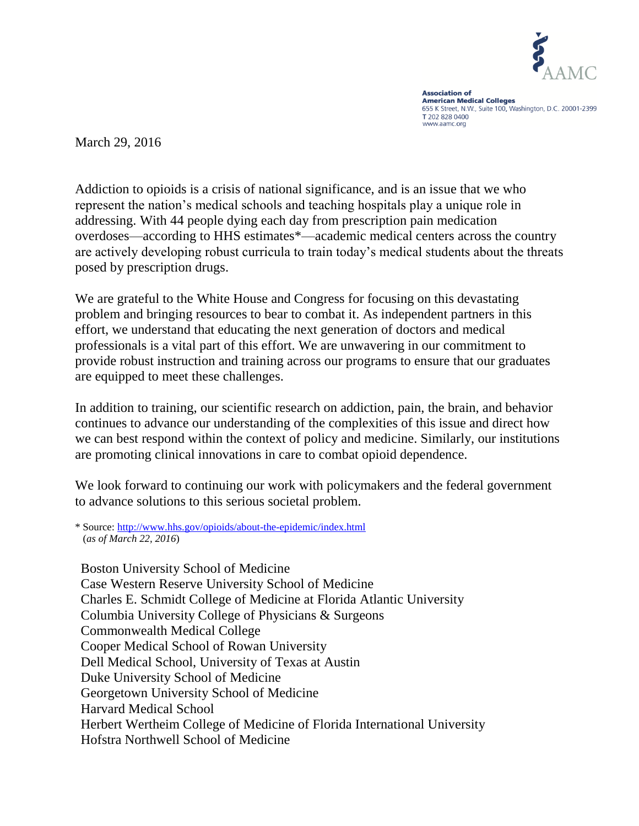

**Association of American Medical Colleges**<br>655 K Street, N.W., Suite 100, Washington, D.C. 20001-2399 T 202 828 0400 www.aamc.org

March 29, 2016

Addiction to opioids is a crisis of national significance, and is an issue that we who represent the nation's medical schools and teaching hospitals play a unique role in addressing. With 44 people dying each day from prescription pain medication overdoses—according to HHS estimates\*—academic medical centers across the country are actively developing robust curricula to train today's medical students about the threats posed by prescription drugs.

We are grateful to the White House and Congress for focusing on this devastating problem and bringing resources to bear to combat it. As independent partners in this effort, we understand that educating the next generation of doctors and medical professionals is a vital part of this effort. We are unwavering in our commitment to provide robust instruction and training across our programs to ensure that our graduates are equipped to meet these challenges.

In addition to training, our scientific research on addiction, pain, the brain, and behavior continues to advance our understanding of the complexities of this issue and direct how we can best respond within the context of policy and medicine. Similarly, our institutions are promoting clinical innovations in care to combat opioid dependence.

We look forward to continuing our work with policymakers and the federal government to advance solutions to this serious societal problem.

Boston University School of Medicine Case Western Reserve University School of Medicine Charles E. Schmidt College of Medicine at Florida Atlantic University Columbia University College of Physicians & Surgeons Commonwealth Medical College Cooper Medical School of Rowan University Dell Medical School, University of Texas at Austin Duke University School of Medicine Georgetown University School of Medicine Harvard Medical School Herbert Wertheim College of Medicine of Florida International University Hofstra Northwell School of Medicine

<sup>\*</sup> Source:<http://www.hhs.gov/opioids/about-the-epidemic/index.html> (*as of March 22, 2016*)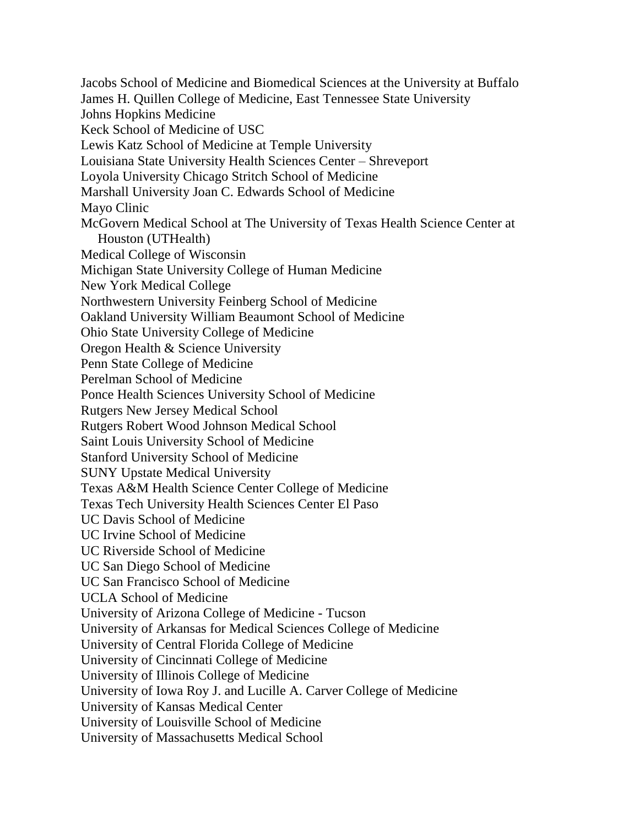Jacobs School of Medicine and Biomedical Sciences at the University at Buffalo James H. Quillen College of Medicine, East Tennessee State University Johns Hopkins Medicine Keck School of Medicine of USC Lewis Katz School of Medicine at Temple University Louisiana State University Health Sciences Center – Shreveport Loyola University Chicago Stritch School of Medicine Marshall University Joan C. Edwards School of Medicine Mayo Clinic McGovern Medical School at The University of Texas Health Science Center at Houston (UTHealth) Medical College of Wisconsin Michigan State University College of Human Medicine New York Medical College Northwestern University Feinberg School of Medicine Oakland University William Beaumont School of Medicine Ohio State University College of Medicine Oregon Health & Science University Penn State College of Medicine Perelman School of Medicine Ponce Health Sciences University School of Medicine Rutgers New Jersey Medical School Rutgers Robert Wood Johnson Medical School Saint Louis University School of Medicine Stanford University School of Medicine SUNY Upstate Medical University Texas A&M Health Science Center College of Medicine Texas Tech University Health Sciences Center El Paso UC Davis School of Medicine UC Irvine School of Medicine UC Riverside School of Medicine UC San Diego School of Medicine UC San Francisco School of Medicine UCLA School of Medicine University of Arizona College of Medicine - Tucson University of Arkansas for Medical Sciences College of Medicine University of Central Florida College of Medicine University of Cincinnati College of Medicine University of Illinois College of Medicine University of Iowa Roy J. and Lucille A. Carver College of Medicine University of Kansas Medical Center University of Louisville School of Medicine University of Massachusetts Medical School